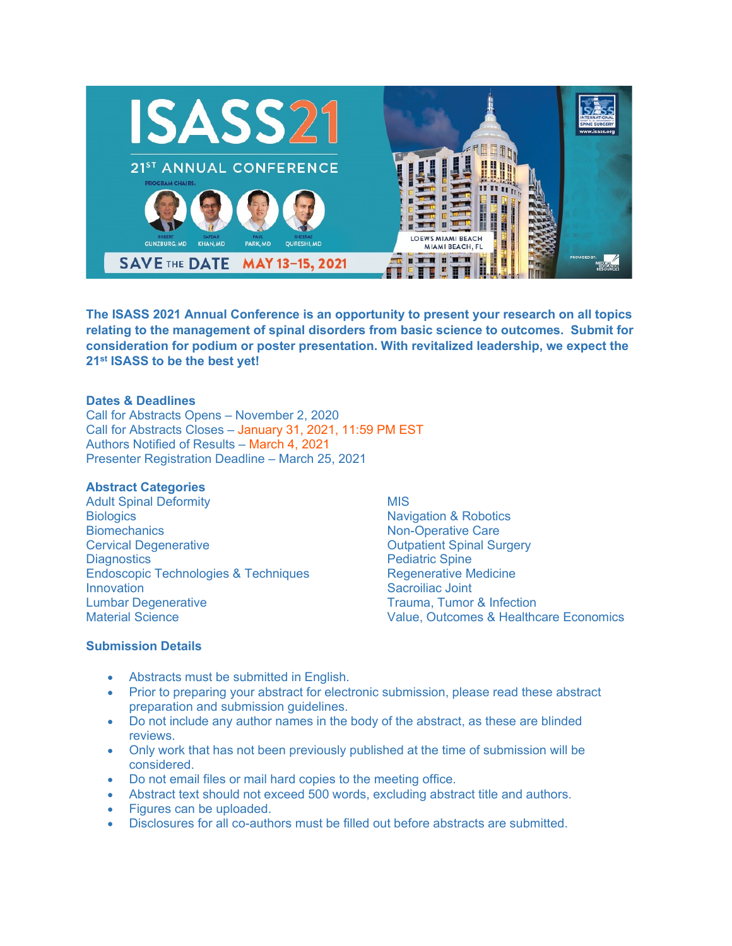

**The ISASS 2021 Annual Conference is an opportunity to present your research on all topics relating to the management of spinal disorders from basic science to outcomes. Submit for consideration for podium or poster presentation. With revitalized leadership, we expect the 21st ISASS to be the best yet!**

## **Dates & Deadlines**

Call for Abstracts Opens – November 2, 2020 Call for Abstracts Closes – January 31, 2021, 11:59 PM EST Authors Notified of Results – March 4, 2021 Presenter Registration Deadline – March 25, 2021

## **Abstract Categories**

Adult Spinal Deformity **Biologics Biomechanics** Cervical Degenerative **Diagnostics** Endoscopic Technologies & Techniques Innovation Lumbar Degenerative Material Science

**MIS** Navigation & Robotics Non-Operative Care Outpatient Spinal Surgery Pediatric Spine Regenerative Medicine Sacroiliac Joint Trauma, Tumor & Infection Value, Outcomes & Healthcare Economics

## **Submission Details**

- Abstracts must be submitted in English.
- Prior to preparing your abstract for electronic submission, please read these abstract preparation and submission guidelines.
- Do not include any author names in the body of the abstract, as these are blinded reviews.
- Only work that has not been previously published at the time of submission will be considered.
- Do not email files or mail hard copies to the meeting office.
- Abstract text should not exceed 500 words, excluding abstract title and authors.
- Figures can be uploaded.
- Disclosures for all co-authors must be filled out before abstracts are submitted.